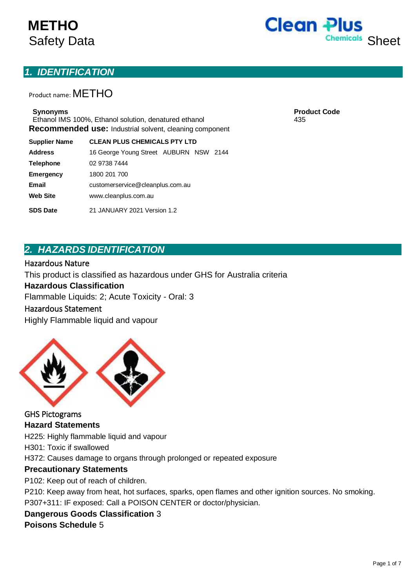# **METHO**



## *1. IDENTIFICATION*

Product name: METHO

Ethanol IMS 100%, Ethanol solution, denatured ethanol 435 **Recommended use:** Industrial solvent, cleaning component

**Supplier Name CLEAN PLUS CHEMICALS PTY LTD**

| <b>Address</b>   | 16 George Young Street AUBURN NSW 2144 |  |  |  |
|------------------|----------------------------------------|--|--|--|
| <b>Telephone</b> | 02 9738 7444                           |  |  |  |
| <b>Emergency</b> | 1800 201 700                           |  |  |  |
| <b>Email</b>     | customerservice@cleanplus.com.au       |  |  |  |
| <b>Web Site</b>  | www.cleanplus.com.au                   |  |  |  |
| <b>SDS Date</b>  | 21 JANUARY 2021 Version 1.2            |  |  |  |

**Synonyms Product Code**

## *2. HAZARDS IDENTIFICATION*

#### Hazardous Nature

This product is classified as hazardous under GHS for Australia criteria

#### **Hazardous Classification**

Flammable Liquids: 2; Acute Toxicity - Oral: 3

#### Hazardous Statement

Highly Flammable liquid and vapour



GHS Pictograms **Hazard Statements**

H225: Highly flammable liquid and vapour

H301: Toxic if swallowed

H372: Causes damage to organs through prolonged or repeated exposure

#### **Precautionary Statements**

P102: Keep out of reach of children.

P210: Keep away from heat, hot surfaces, sparks, open flames and other ignition sources. No smoking. P307+311: IF exposed: Call a POISON CENTER or doctor/physician.

## **Dangerous Goods Classification** 3

**Poisons Schedule** 5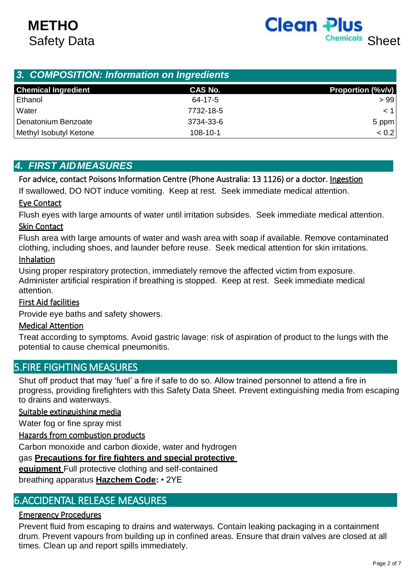

| 3. COMPOSITION: Information on Ingredients |                |                          |  |  |  |
|--------------------------------------------|----------------|--------------------------|--|--|--|
| <b>Chemical Ingredient</b>                 | <b>CAS No.</b> | <b>Proportion (%v/v)</b> |  |  |  |
| Ethanol                                    | 64-17-5        | >99                      |  |  |  |
| Water                                      | 7732-18-5      | < 1                      |  |  |  |
| Denatonium Benzoate                        | 3734-33-6      | 5 ppm                    |  |  |  |
| Methyl Isobutyl Ketone                     | 108-10-1       | < 0.2                    |  |  |  |

## *4. FIRST AIDMEASURES*

For advice, contact Poisons Information Centre (Phone Australia: 13 1126) or a doctor. Ingestion

If swallowed, DO NOT induce vomiting. Keep at rest. Seek immediate medical attention.

#### Eye Contact

Flush eyes with large amounts of water until irritation subsides. Seek immediate medical attention.

#### Skin Contact

Flush area with large amounts of water and wash area with soap if available. Remove contaminated clothing, including shoes, and launder before reuse. Seek medical attention for skin irritations.

#### Inhalation

Using proper respiratory protection, immediately remove the affected victim from exposure. Administer artificial respiration if breathing is stopped. Keep at rest. Seek immediate medical attention.

### First Aid facilities

Provide eye baths and safety showers.

#### Medical Attention

Treat according to symptoms. Avoid gastric lavage: risk of aspiration of product to the lungs with the potential to cause chemical pneumonitis.

## 5.FIRE FIGHTING MEASURES

Shut off product that may 'fuel' a fire if safe to do so. Allow trained personnel to attend a fire in progress, providing firefighters with this Safety Data Sheet. Prevent extinguishing media from escaping to drains and waterways.

#### Suitable extinguishing media

Water fog or fine spray mist

#### Hazards from combustion products

Carbon monoxide and carbon dioxide, water and hydrogen

#### gas **Precautions for fire fighters and special protective**

**equipment** Full protective clothing and self-contained

breathing apparatus **Hazchem Code:** • 2YE

## 6.ACCIDENTAL RELEASE MEASURES

### Emergency Procedures

Prevent fluid from escaping to drains and waterways. Contain leaking packaging in a containment drum. Prevent vapours from building up in confined areas. Ensure that drain valves are closed at all times. Clean up and report spills immediately.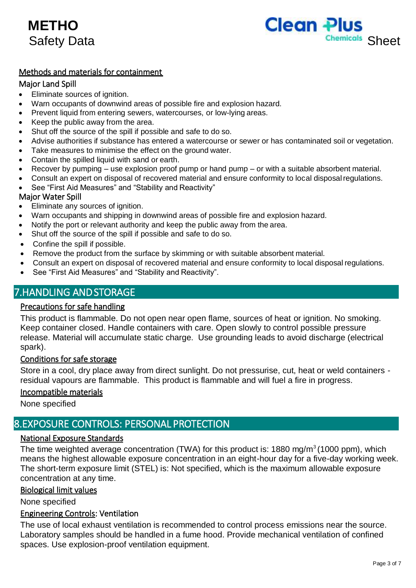



### Methods and materials for containment

#### Major Land Spill

- Eliminate sources of ignition.
- Warn occupants of downwind areas of possible fire and explosion hazard.
- Prevent liquid from entering sewers, watercourses, or low-lying areas.
- Keep the public away from the area.
- Shut off the source of the spill if possible and safe to do so.
- Advise authorities if substance has entered a watercourse or sewer or has contaminated soil or vegetation.
- Take measures to minimise the effect on the ground water.
- Contain the spilled liquid with sand or earth.
- Recover by pumping use explosion proof pump or hand pump or with a suitable absorbent material.
- Consult an expert on disposal of recovered material and ensure conformity to local disposalregulations.
- See "First Aid Measures" and "Stability and Reactivity"

#### Major Water Spill

- Eliminate any sources of ignition.
- Warn occupants and shipping in downwind areas of possible fire and explosion hazard.
- Notify the port or relevant authority and keep the public away from the area.
- Shut off the source of the spill if possible and safe to do so.
- Confine the spill if possible.
- Remove the product from the surface by skimming or with suitable absorbent material.
- Consult an expert on disposal of recovered material and ensure conformity to local disposal regulations.
- See "First Aid Measures" and "Stability and Reactivity".

## 7.HANDLING AND STORAGE

#### Precautions for safe handling

This product is flammable. Do not open near open flame, sources of heat or ignition. No smoking. Keep container closed. Handle containers with care. Open slowly to control possible pressure release. Material will accumulate static charge. Use grounding leads to avoid discharge (electrical spark).

#### Conditions for safe storage

Store in a cool, dry place away from direct sunlight. Do not pressurise, cut, heat or weld containers residual vapours are flammable. This product is flammable and will fuel a fire in progress.

#### Incompatible materials

None specified

## 8.EXPOSURE CONTROLS: PERSONAL PROTECTION

#### National Exposure Standards

The time weighted average concentration (TWA) for this product is:  $1880 \text{ mg/m}^3$  (1000 ppm), which means the highest allowable exposure concentration in an eight-hour day for a five-day working week. The short-term exposure limit (STEL) is: Not specified, which is the maximum allowable exposure concentration at any time.

#### Biological limit values

None specified

#### Engineering Controls: Ventilation

The use of local exhaust ventilation is recommended to control process emissions near the source. Laboratory samples should be handled in a fume hood. Provide mechanical ventilation of confined spaces. Use explosion-proof ventilation equipment.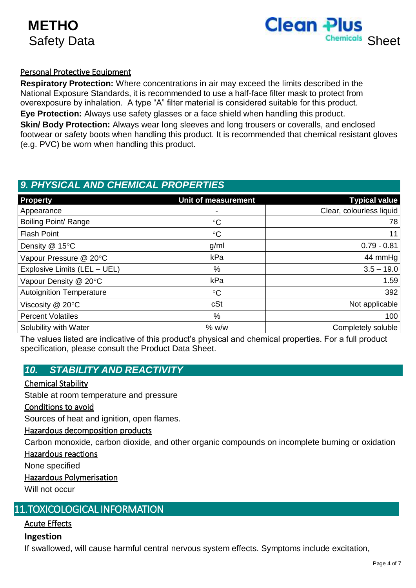

## Personal Protective Equipment

**Respiratory Protection:** Where concentrations in air may exceed the limits described in the National Exposure Standards, it is recommended to use a half-face filter mask to protect from overexposure by inhalation. A type "A" filter material is considered suitable for this product. **Eye Protection:** Always use safety glasses or a face shield when handling this product. **Skin/ Body Protection:** Always wear long sleeves and long trousers or coveralls, and enclosed footwear or safety boots when handling this product. It is recommended that chemical resistant gloves (e.g. PVC) be worn when handling this product.

## *9. PHYSICAL AND CHEMICAL PROPERTIES*

| <b>Property</b>                 | Unit of measurement | <b>Typical value</b>     |
|---------------------------------|---------------------|--------------------------|
| Appearance                      |                     | Clear, colourless liquid |
| Boiling Point/ Range            | $\rm ^{\circ}C$     | 78                       |
| <b>Flash Point</b>              | $\rm ^{\circ}C$     | 11                       |
| Density @ 15°C                  | g/ml                | $0.79 - 0.81$            |
| Vapour Pressure @ 20°C          | kPa                 | 44 mmHg                  |
| Explosive Limits (LEL - UEL)    | %                   | $3.5 - 19.0$             |
| Vapour Density @ 20°C           | kPa                 | 1.59                     |
| <b>Autoignition Temperature</b> | $\rm ^{\circ}C$     | 392                      |
| Viscosity @ 20°C                | cSt                 | Not applicable           |
| <b>Percent Volatiles</b>        | %                   | 100                      |
| Solubility with Water           | % w/w               | Completely soluble       |

The values listed are indicative of this product's physical and chemical properties. For a full product specification, please consult the Product Data Sheet.

## *10. STABILITY AND REACTIVITY*

### Chemical Stability

Stable at room temperature and pressure

#### Conditions to avoid

Sources of heat and ignition, open flames.

#### Hazardous decomposition products

Carbon monoxide, carbon dioxide, and other organic compounds on incomplete burning or oxidation

#### Hazardous reactions

None specified

#### Hazardous Polymerisation

Will not occur

## 11.TOXICOLOGICAL INFORMATION

#### Acute Effects

#### **Ingestion**

If swallowed, will cause harmful central nervous system effects. Symptoms include excitation,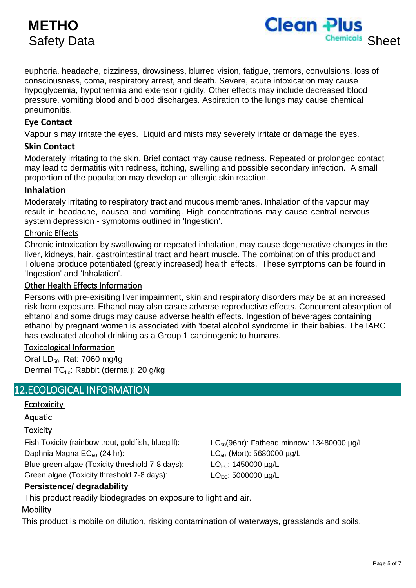## **METHO**



euphoria, headache, dizziness, drowsiness, blurred vision, fatigue, tremors, convulsions, loss of consciousness, coma, respiratory arrest, and death. Severe, acute intoxication may cause hypoglycemia, hypothermia and extensor rigidity. Other effects may include decreased blood pressure, vomiting blood and blood discharges. Aspiration to the lungs may cause chemical pneumonitis.

#### **Eye Contact**

Vapour s may irritate the eyes. Liquid and mists may severely irritate or damage the eyes.

#### **Skin Contact**

Moderately irritating to the skin. Brief contact may cause redness. Repeated or prolonged contact may lead to dermatitis with redness, itching, swelling and possible secondary infection. A small proportion of the population may develop an allergic skin reaction.

#### **Inhalation**

Moderately irritating to respiratory tract and mucous membranes. Inhalation of the vapour may result in headache, nausea and vomiting. High concentrations may cause central nervous system depression - symptoms outlined in 'Ingestion'.

#### Chronic Effects

Chronic intoxication by swallowing or repeated inhalation, may cause degenerative changes in the liver, kidneys, hair, gastrointestinal tract and heart muscle. The combination of this product and Toluene produce potentiated (greatly increased) health effects. These symptoms can be found in 'Ingestion' and 'Inhalation'.

#### Other Health Effects Information

Persons with pre-exisiting liver impairment, skin and respiratory disorders may be at an increased risk from exposure. Ethanol may also casue adverse reproductive effects. Concurrent absorption of ehtanol and some drugs may cause adverse health effects. Ingestion of beverages containing ethanol by pregnant women is associated with 'foetal alcohol syndrome' in their babies. The IARC has evaluated alcohol drinking as a Group 1 carcinogenic to humans.

#### Toxicological Information

Oral  $LD_{50}$ : Rat: 7060 mg/lg Dermal TC<sub>Lo</sub>: Rabbit (dermal): 20 g/kg

## 12.ECOLOGICAL INFORMATION

#### **Ecotoxicity**

Aquatic

#### **Toxicity**

Fish Toxicity (rainbow trout, goldfish, bluegill): LC<sub>50</sub>(96hr): Fathead minnow: 13480000 µg/L

Blue-green algae (Toxicity threshold 7-8 days):  $LO_{FC}$ : 1450000  $\mu q/L$ 

Green algae (Toxicity threshold 7-8 days):  $LO_{EC}$ : 5000000 µg/L

**Persistence/ degradability**

Daphnia Magna  $EC_{50}$  (24 hr):  $EC_{50}$  (Mort): 5680000 µg/L

This product readily biodegrades on exposure to light and air.

#### **Mobility**

This product is mobile on dilution, risking contamination of waterways, grasslands and soils.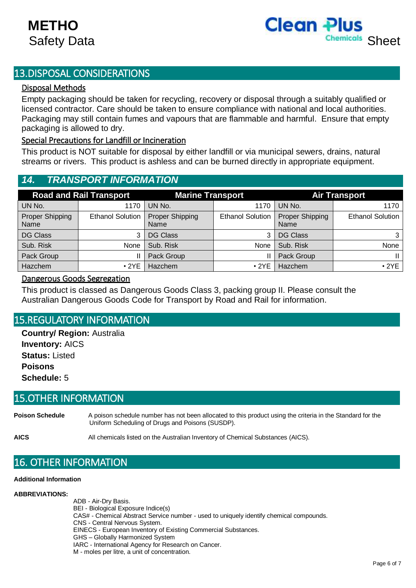

## 13.DISPOSAL CONSIDERATIONS

#### Disposal Methods

Empty packaging should be taken for recycling, recovery or disposal through a suitably qualified or licensed contractor. Care should be taken to ensure compliance with national and local authorities. Packaging may still contain fumes and vapours that are flammable and harmful. Ensure that empty packaging is allowed to dry.

#### Special Precautions for Landfill or Incineration

This product is NOT suitable for disposal by either landfill or via municipal sewers, drains, natural streams or rivers. This product is ashless and can be burned directly in appropriate equipment.

## *14. TRANSPORT INFORMATION*

| <b>Road and Rail Transport</b> |                         | <b>Marine Transport</b> |                         | <b>Air Transport</b>           |                         |
|--------------------------------|-------------------------|-------------------------|-------------------------|--------------------------------|-------------------------|
| UN No.                         | 1170                    | UN No.                  | 1170                    | UN No.                         | 1170                    |
| Proper Shipping<br>Name        | <b>Ethanol Solution</b> | Proper Shipping<br>Name | <b>Ethanol Solution</b> | <b>Proper Shipping</b><br>Name | <b>Ethanol Solution</b> |
| <b>DG Class</b>                | 3                       | <b>DG Class</b>         | 3                       | <b>DG Class</b>                |                         |
| Sub. Risk                      | None                    | Sub. Risk               | None                    | Sub. Risk                      | None                    |
| Pack Group                     |                         | Pack Group              |                         | Pack Group                     |                         |
| Hazchem                        | $\cdot$ 2YE             | <b>Hazchem</b>          | $\cdot$ 2YE             | Hazchem                        | $\cdot$ 2YE             |

#### Dangerous Goods Segregation

This product is classed as Dangerous Goods Class 3, packing group II. Please consult the Australian Dangerous Goods Code for Transport by Road and Rail for information.

## 15.REGULATORY INFORMATION

**Country/ Region:** Australia **Inventory:** AICS **Status:** Listed **Poisons Schedule:** 5

## 15.OTHER INFORMATION

**Poison Schedule** A poison schedule number has not been allocated to this product using the criteria in the Standard for the Uniform Scheduling of Drugs and Poisons (SUSDP).

**AICS** All chemicals listed on the Australian Inventory of Chemical Substances (AICS).

## 16. OTHER INFORMATION

#### **Additional Information**

#### **ABBREVIATIONS:**

ADB - Air-Dry Basis. BEI - Biological Exposure Indice(s) CAS# - Chemical Abstract Service number - used to uniquely identify chemical compounds. CNS - Central Nervous System. EINECS - European Inventory of Existing Commercial Substances. GHS – Globally Harmonized System IARC - International Agency for Research on Cancer. M - moles per litre, a unit of concentration.